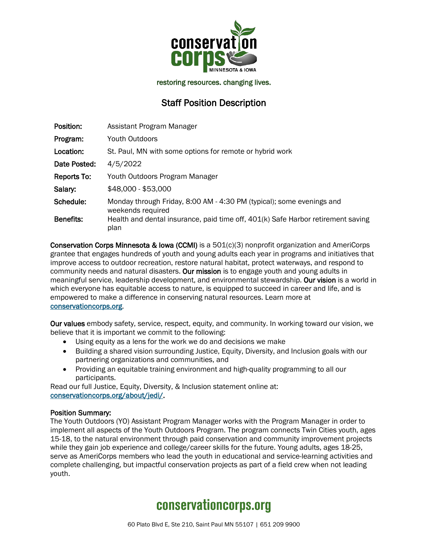

restoring resources. changing lives.

### Staff Position Description

| Position:        | Assistant Program Manager                                                                  |
|------------------|--------------------------------------------------------------------------------------------|
| Program:         | Youth Outdoors                                                                             |
| Location:        | St. Paul, MN with some options for remote or hybrid work                                   |
| Date Posted:     | 4/5/2022                                                                                   |
| Reports To:      | Youth Outdoors Program Manager                                                             |
| Salary:          | \$48,000 - \$53,000                                                                        |
| Schedule:        | Monday through Friday, 8:00 AM - 4:30 PM (typical); some evenings and<br>weekends required |
| <b>Benefits:</b> | Health and dental insurance, paid time off, 401(k) Safe Harbor retirement saving<br>plan   |

Conservation Corps Minnesota & Iowa (CCMI) is a 501(c)(3) nonprofit organization and AmeriCorps grantee that engages hundreds of youth and young adults each year in programs and initiatives that improve access to outdoor recreation, restore natural habitat, protect waterways, and respond to community needs and natural disasters. Our mission is to engage youth and young adults in meaningful service, leadership development, and environmental stewardship. Our vision is a world in which everyone has equitable access to nature, is equipped to succeed in career and life, and is empowered to make a difference in conserving natural resources. Learn more at [conservationcorps.org.](mailto:https://conservationcorps.org/)

Our values embody safety, service, respect, equity, and community. In working toward our vision, we believe that it is important we commit to the following:

- Using equity as a lens for the work we do and decisions we make
- Building a shared vision surrounding Justice, Equity, Diversity, and Inclusion goals with our partnering organizations and communities, and
- Providing an equitable training environment and high-quality programming to all our participants.

Read our full Justice, Equity, Diversity, & Inclusion statement online at: [conservationcorps.org/about/jedi/.](https://conservationcorps.org/about/jedi/)

#### Position Summary:

The Youth Outdoors (YO) Assistant Program Manager works with the Program Manager in order to implement all aspects of the Youth Outdoors Program. The program connects Twin Cities youth, ages 15-18, to the natural environment through paid conservation and community improvement projects while they gain job experience and college/career skills for the future. Young adults, ages 18-25, serve as AmeriCorps members who lead the youth in educational and service-learning activities and complete challenging, but impactful conservation projects as part of a field crew when not leading youth.

## **conservationcorps.org**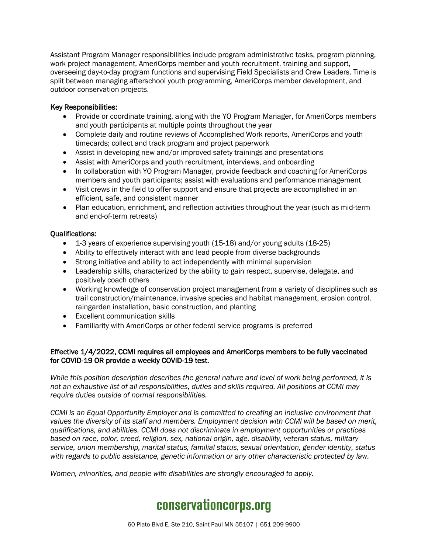Assistant Program Manager responsibilities include program administrative tasks, program planning, work project management, AmeriCorps member and youth recruitment, training and support, overseeing day-to-day program functions and supervising Field Specialists and Crew Leaders. Time is split between managing afterschool youth programming, AmeriCorps member development, and outdoor conservation projects.

#### Key Responsibilities:

- Provide or coordinate training, along with the YO Program Manager, for AmeriCorps members and youth participants at multiple points throughout the year
- Complete daily and routine reviews of Accomplished Work reports, AmeriCorps and youth timecards; collect and track program and project paperwork
- Assist in developing new and/or improved safety trainings and presentations
- Assist with AmeriCorps and youth recruitment, interviews, and onboarding
- In collaboration with YO Program Manager, provide feedback and coaching for AmeriCorps members and youth participants; assist with evaluations and performance management
- Visit crews in the field to offer support and ensure that projects are accomplished in an efficient, safe, and consistent manner
- Plan education, enrichment, and reflection activities throughout the year (such as mid-term and end-of-term retreats)

#### Qualifications:

- 1-3 years of experience supervising youth (15-18) and/or young adults (18-25)
- Ability to effectively interact with and lead people from diverse backgrounds
- Strong initiative and ability to act independently with minimal supervision
- Leadership skills, characterized by the ability to gain respect, supervise, delegate, and positively coach others
- Working knowledge of conservation project management from a variety of disciplines such as trail construction/maintenance, invasive species and habitat management, erosion control, raingarden installation, basic construction, and planting
- Excellent communication skills
- Familiarity with AmeriCorps or other federal service programs is preferred

#### Effective 1/4/2022, CCMI requires all employees and AmeriCorps members to be fully vaccinated for COVID-19 OR provide a weekly COVID-19 test.

*While this position description describes the general nature and level of work being performed, it is not an exhaustive list of all responsibilities, duties and skills required. All positions at CCMI may require duties outside of normal responsibilities.*

*CCMI is an Equal Opportunity Employer and is committed to creating an inclusive environment that values the diversity of its staff and members. Employment decision with CCMI will be based on merit, qualifications, and abilities. CCMI does not discriminate in employment opportunities or practices based on race, color, creed, religion, sex, national origin, age, disability, veteran status, military service, union membership, marital status, familial status, sexual orientation, gender identity, status with regards to public assistance, genetic information or any other characteristic protected by law.*

*Women, minorities, and people with disabilities are strongly encouraged to apply.*

# **conservationcorps.org**